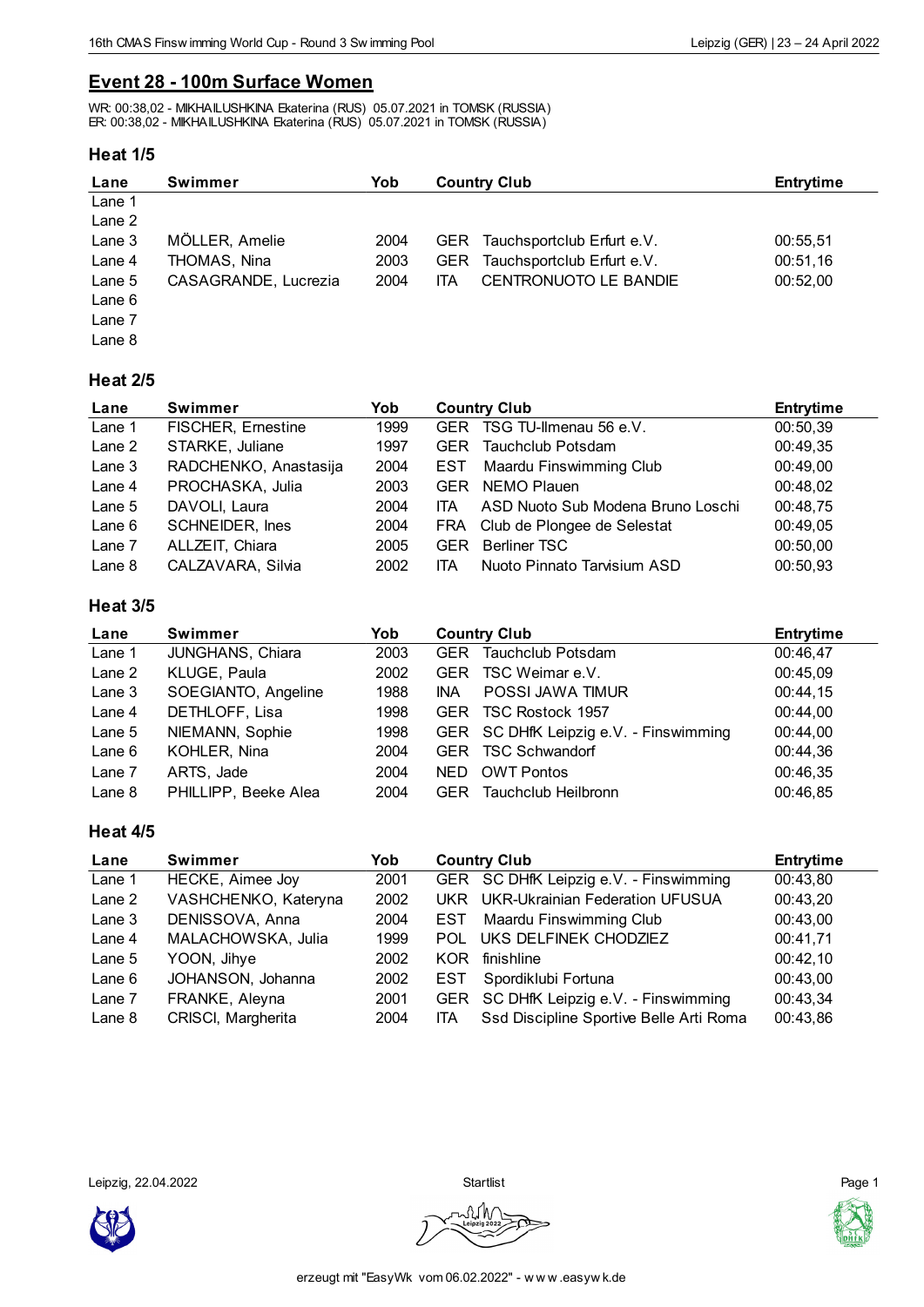## **Event 28 - 100m Surface Women**

WR: 00:38,02 - MIKHAILUSHKINA Ekaterina (RUS) 05.07.2021 in TOMSK (RUSSIA) ER: 00:38,02 - MIKHAILUSHKINA Ekaterina (RUS) 05.07.2021 in TOMSK (RUSSIA)

### **Heat 1/5**

| Lane   | <b>Swimmer</b>       | Yob  | <b>Country Club</b> |                                | <b>Entrytime</b> |
|--------|----------------------|------|---------------------|--------------------------------|------------------|
| Lane 1 |                      |      |                     |                                |                  |
| Lane 2 |                      |      |                     |                                |                  |
| Lane 3 | MÖLLER, Amelie       | 2004 |                     | GER Tauchsportclub Erfurt e.V. | 00:55,51         |
| Lane 4 | THOMAS, Nina         | 2003 |                     | GER Tauchsportclub Erfurt e.V. | 00:51,16         |
| Lane 5 | CASAGRANDE, Lucrezia | 2004 | ITA                 | CENTRONUOTO LE BANDIE          | 00:52,00         |
| Lane 6 |                      |      |                     |                                |                  |
| Lane 7 |                      |      |                     |                                |                  |
| Lane 8 |                      |      |                     |                                |                  |

### **Heat 2/5**

| Lane     | Swimmer                   | Yob  | <b>Country Club</b> |                                   | <b>Entrytime</b> |
|----------|---------------------------|------|---------------------|-----------------------------------|------------------|
| Lane 1   | <b>FISCHER, Ernestine</b> | 1999 |                     | GER TSG TU-Ilmenau 56 e.V.        | 00:50,39         |
| Lane 2   | STARKE, Juliane           | 1997 | <b>GER</b>          | Tauchclub Potsdam                 | 00:49,35         |
| Lane 3   | RADCHENKO, Anastasija     | 2004 | EST                 | Maardu Finswimming Club           | 00:49,00         |
| Lane 4   | PROCHASKA, Julia          | 2003 | <b>GER</b>          | NEMO Plauen                       | 00:48,02         |
| Lane $5$ | DAVOLI, Laura             | 2004 | ITA.                | ASD Nuoto Sub Modena Bruno Loschi | 00:48.75         |
| Lane $6$ | <b>SCHNEIDER, Ines</b>    | 2004 | <b>FRA</b>          | Club de Plongee de Selestat       | 00:49,05         |
| Lane 7   | ALLZEIT, Chiara           | 2005 | <b>GER</b>          | <b>Berliner TSC</b>               | 00:50,00         |
| Lane 8   | CALZAVARA, Silvia         | 2002 | <b>ITA</b>          | Nuoto Pinnato Tarvisium ASD       | 00:50.93         |

### **Heat 3/5**

| Lane     | Swimmer              | Yob  | <b>Country Club</b> |                                        | <b>Entrytime</b> |
|----------|----------------------|------|---------------------|----------------------------------------|------------------|
| Lane 1   | JUNGHANS, Chiara     | 2003 | <b>GER</b>          | Tauchclub Potsdam                      | 00:46,47         |
| Lane 2   | KLUGE, Paula         | 2002 | <b>GER</b>          | TSC Weimar e.V.                        | 00:45,09         |
| Lane 3   | SOEGIANTO, Angeline  | 1988 | <b>INA</b>          | POSSI JAWA TIMUR                       | 00:44,15         |
| Lane 4   | DETHLOFF, Lisa       | 1998 | <b>GER</b>          | TSC Rostock 1957                       | 00:44,00         |
| Lane 5   | NIEMANN, Sophie      | 1998 |                     | GER SC DHfK Leipzig e.V. - Finswimming | 00:44,00         |
| Lane 6   | KOHLER, Nina         | 2004 |                     | GER TSC Schwandorf                     | 00:44,36         |
| Lane 7   | ARTS, Jade           | 2004 | <b>NED</b>          | <b>OWT Pontos</b>                      | 00:46,35         |
| Lane $8$ | PHILLIPP, Beeke Alea | 2004 | <b>GER</b>          | Tauchclub Heilbronn                    | 00:46,85         |

#### **Heat 4/5**

| Lane     | <b>Swimmer</b>       | Yob  | <b>Country Club</b>                                   | <b>Entrytime</b> |
|----------|----------------------|------|-------------------------------------------------------|------------------|
| Lane 1   | HECKE, Aimee Joy     | 2001 | GER SC DHfK Leipzig e.V. - Finswimming                | 00:43,80         |
| Lane 2   | VASHCHENKO, Kateryna | 2002 | UKR UKR-Ukrainian Federation UFUSUA                   | 00:43,20         |
| Lane 3   | DENISSOVA, Anna      | 2004 | Maardu Finswimming Club<br><b>EST</b>                 | 00:43,00         |
| Lane 4   | MALACHOWSKA, Julia   | 1999 | UKS DELFINEK CHODZIEZ<br>POL                          | 00:41.71         |
| Lane $5$ | YOON, Jihye          | 2002 | finishline<br>KOR                                     | 00:42,10         |
| Lane $6$ | JOHANSON, Johanna    | 2002 | Spordiklubi Fortuna<br><b>EST</b>                     | 00:43,00         |
| Lane 7   | FRANKE, Aleyna       | 2001 | SC DHfK Leipzig e.V. - Finswimming<br><b>GER</b>      | 00:43,34         |
| Lane 8   | CRISCI, Margherita   | 2004 | Ssd Discipline Sportive Belle Arti Roma<br><b>ITA</b> | 00:43,86         |

Leipzig, 22.04.2022 Startlist Page 1